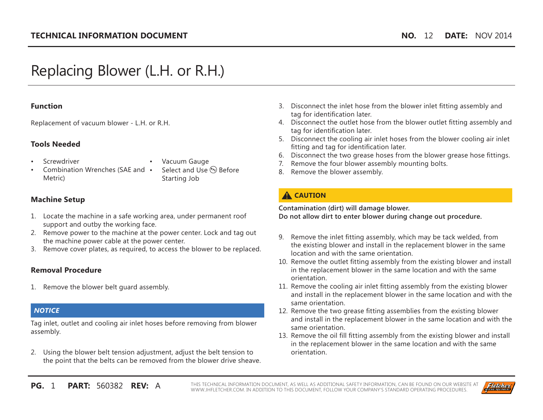# Replacing Blower (L.H. or R.H.)

#### **Function**

Replacement of vacuum blower - L.H. or R.H.

#### **Tools Needed**

**Screwdriver** 

- Vacuum Gauge
- Combination Wrenches (SAE and Metric)
- Select and Use  $(P_{P_E})$  Before Starting Job

## **Machine Setup**

- 1. Locate the machine in a safe working area, under permanent roof support and outby the working face.
- 2. Remove power to the machine at the power center. Lock and tag out the machine power cable at the power center.
- 3. Remove cover plates, as required, to access the blower to be replaced.

### **Removal Procedure**

1. Remove the blower belt guard assembly.

### *NOTICE*

Tag inlet, outlet and cooling air inlet hoses before removing from blower assembly.

2. Using the blower belt tension adjustment, adjust the belt tension to the point that the belts can be removed from the blower drive sheave.

- 3. Disconnect the inlet hose from the blower inlet fitting assembly and tag for identification later.
- 4. Disconnect the outlet hose from the blower outlet fitting assembly and tag for identification later.
- 5. Disconnect the cooling air inlet hoses from the blower cooling air inlet fitting and tag for identification later.
- 6. Disconnect the two grease hoses from the blower grease hose fittings.
- 7. Remove the four blower assembly mounting bolts.
- 8. Remove the blower assembly.

## **A** CAUTION

**Contamination (dirt) will damage blower. Do not allow dirt to enter blower during change out procedure.**

- 9. Remove the inlet fitting assembly, which may be tack welded, from the existing blower and install in the replacement blower in the same location and with the same orientation.
- 10. Remove the outlet fitting assembly from the existing blower and install in the replacement blower in the same location and with the same orientation.
- 11. Remove the cooling air inlet fitting assembly from the existing blower and install in the replacement blower in the same location and with the same orientation.
- 12. Remove the two grease fitting assemblies from the existing blower and install in the replacement blower in the same location and with the same orientation.
- 13. Remove the oil fill fitting assembly from the existing blower and install in the replacement blower in the same location and with the same orientation.

**PG. 1 PART:** 560382 RFV: A THIS TECHNICAL INFORMATION DOCUMENT, AS WELL AS ADDITIONAL SAFETY INFORMATION, CAN BE FOUND ON OUR WEBSITE AT WWW.JHFLETCHER.COM. IN ADDITION TO THIS DOCUMENT, FOLLOW YOUR COMPANY'S STANDARD OPERATING PROCEDURES.

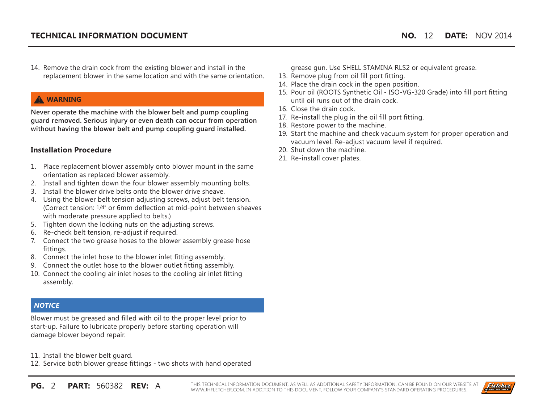14. Remove the drain cock from the existing blower and install in the replacement blower in the same location and with the same orientation.

## **WARNING**

**Never operate the machine with the blower belt and pump coupling guard removed. Serious injury or even death can occur from operation without having the blower belt and pump coupling guard installed.**

#### **Installation Procedure**

- 1. Place replacement blower assembly onto blower mount in the same orientation as replaced blower assembly.
- 2. Install and tighten down the four blower assembly mounting bolts.
- 3. Install the blower drive belts onto the blower drive sheave.
- 4. Using the blower belt tension adjusting screws, adjust belt tension. (Correct tension: 1/4" or 6mm deflection at mid-point between sheaves with moderate pressure applied to belts.)
- 5. Tighten down the locking nuts on the adjusting screws.
- 6. Re-check belt tension, re-adjust if required.
- 7. Connect the two grease hoses to the blower assembly grease hose fittings.
- 8. Connect the inlet hose to the blower inlet fitting assembly.
- 9. Connect the outlet hose to the blower outlet fitting assembly.
- 10. Connect the cooling air inlet hoses to the cooling air inlet fitting assembly.

### *NOTICE*

Blower must be greased and filled with oil to the proper level prior to start-up. Failure to lubricate properly before starting operation will damage blower beyond repair.

11. Install the blower belt guard.

12. Service both blower grease fittings - two shots with hand operated

**PG.** 2 **PART:** 560382 **REV:** A THIS TECHNICAL INFORMATION DOCUMENT, AS WELL AS ADDITIONAL SAFETY INFORMATION, CAN BE FOUND ON OUR WEBSITE AT WWW.JHFLETCHER.COM. IN ADDITION TO THIS DOCUMENT, FOLLOW YOUR COMPANY'S STANDARD OPERATING PROCEDURES.



grease gun. Use SHELL STAMINA RLS2 or equivalent grease.

- 13. Remove plug from oil fill port fitting.
- 14. Place the drain cock in the open position.
- 15. Pour oil (ROOTS Synthetic Oil ISO-VG-320 Grade) into fill port fitting until oil runs out of the drain cock.
- 16. Close the drain cock.
- 17. Re-install the plug in the oil fill port fitting.
- 18. Restore power to the machine.
- 19. Start the machine and check vacuum system for proper operation and vacuum level. Re-adjust vacuum level if required.
- 20. Shut down the machine.
- 21. Re-install cover plates.